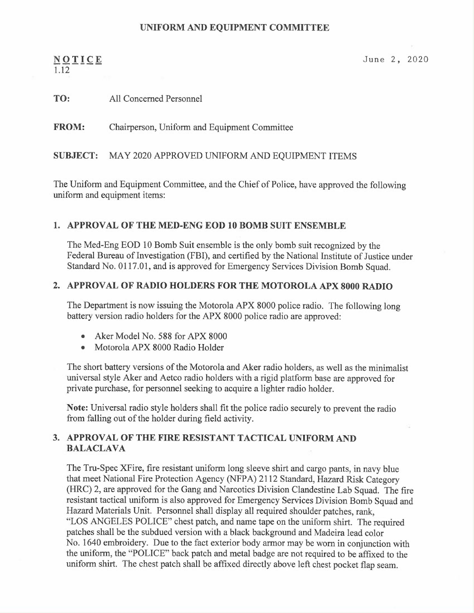#### UNIFORM AND EQUIPMENT COMMITTEE

# 1.12

 $NQTICE$  June 2, 2020

## TO: All Concerned Personnel

<sup>F</sup>ROM: Chairperson, Uniform and Equipment Committee

#### SUBJECT: MAY 2020 APPROVED UNIFORM AND EQUIPMENT ITEMS

<sup>T</sup>he Uniform and Equipment Committee, and the Chief of Police, have approved the following <sup>u</sup>niform and equipment items:

#### 1. APPROVAL OF THE MED-ENG EOD 10 BOMB SUIT ENSEMBLE

<sup>T</sup>he Med-Eng EOD 10 Bomb Suit ensemble is the only bomb suit recognized by the <sup>F</sup>ederal Bureau of Investigation (FBI), and certified by the National Institute of Justice under <sup>S</sup>tandard No. 0117.01, and is approved for Emergency Services Division Bomb Squad.

#### 2. APPROVAL OF RADIO HOLDERS FOR THE MOTOROLA APX 8000 RADIO

<sup>T</sup>he Department is now issuing the Motorola APX 8000 police radio. The following long battery version radio holders for the APX 8000 police radio are approved:

- •Aker Model No. 588 for APX 8000
- •Motorola APX 8000 Radio Holder

<sup>T</sup>he short battery versions of the Motorola and Aker radio holders, as well as the minimalist <sup>u</sup>niversal style Aker and Aetco radio holders with a rigid platform base are approved for <sup>p</sup>rivate purchase, for personnel seeking to acquire a lighter radio holder.

<sup>N</sup>ote: Universal radio style holders shall fit the police radio securely to prevent the radio from falling out of the holder during field activity.

### 3. APPROVAL OF THE FIRE RESISTANT TACTICAL UNIFORM AND BALACLAVA

<sup>T</sup>he Tru-Spec XFire, fire resistant uniform long sleeve shirt and cargo pants, in navy blue <sup>t</sup>hat meet National Fire Protection Agency (NFPA) 2112 Standard, Hazard Risk Category (HRC) 2, are approved for the Gang and Narcotics Division Clandestine Lab Squad. The fire <sup>r</sup>esistant tactical uniform is also approved for Emergency Services Division Bomb Squad an<sup>d</sup> <sup>H</sup>azard Materials Unit. Personnel shall display all required shoulder patches, rank, "LOS ANGELES POLICE" chest patch, and name tape on the uniform shirt. The required patches shall be the subdued version with a black background and Madeira lead color <sup>N</sup>o. 1640 embroidery. Due to the fact exterior body armor may be worn in conjunction with <sup>t</sup>he uniform, the "POLICE" back patch and metal badge are not required to be affixed to the <sup>u</sup>niform shirt. The chest patch shall be affixed directly above left chest pocket flap seam.